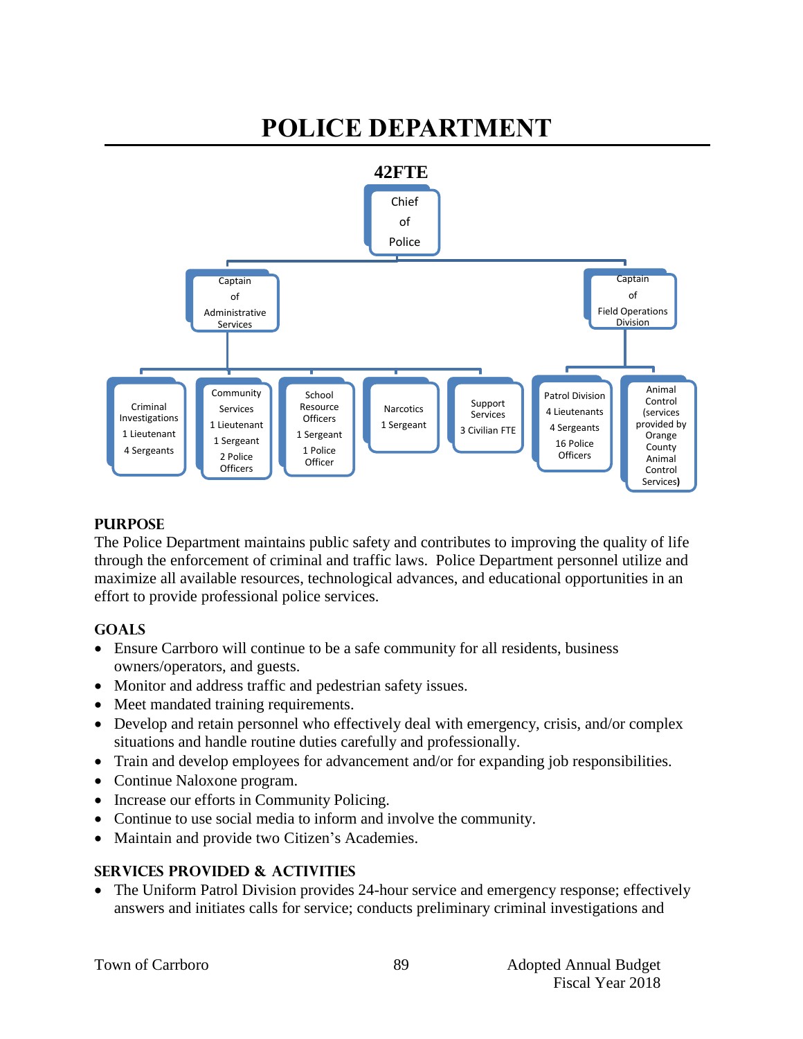#### **POLICE DEPARTMENT 42FTE** Chief of Police **Captain** of Administrative Services Criminal Investigations 1 Lieutenant 4 Sergeants Community Services 1 Lieutenant 1 Sergeant 2 Police **Officers** School Resource **Officers** 1 Sergeant 1 Police **Officer** Narcotics 1 Sergeant Support Services 3 Civilian FTE Captain of Field Operations Division Patrol Division 4 Lieutenants 4 Sergeants 16 Police **Officers** Animal Control (services provided by Orange County Animal Control Services**)**

# **PURPOSE**

The Police Department maintains public safety and contributes to improving the quality of life through the enforcement of criminal and traffic laws. Police Department personnel utilize and maximize all available resources, technological advances, and educational opportunities in an effort to provide professional police services.

# **GOALS**

- Ensure Carrboro will continue to be a safe community for all residents, business owners/operators, and guests.
- Monitor and address traffic and pedestrian safety issues.
- Meet mandated training requirements.
- Develop and retain personnel who effectively deal with emergency, crisis, and/or complex situations and handle routine duties carefully and professionally.
- Train and develop employees for advancement and/or for expanding job responsibilities.
- Continue Naloxone program.
- Increase our efforts in Community Policing.
- Continue to use social media to inform and involve the community.
- Maintain and provide two Citizen's Academies.

# **SERVICES PROVIDED & ACTIVITIES**

• The Uniform Patrol Division provides 24-hour service and emergency response; effectively answers and initiates calls for service; conducts preliminary criminal investigations and

89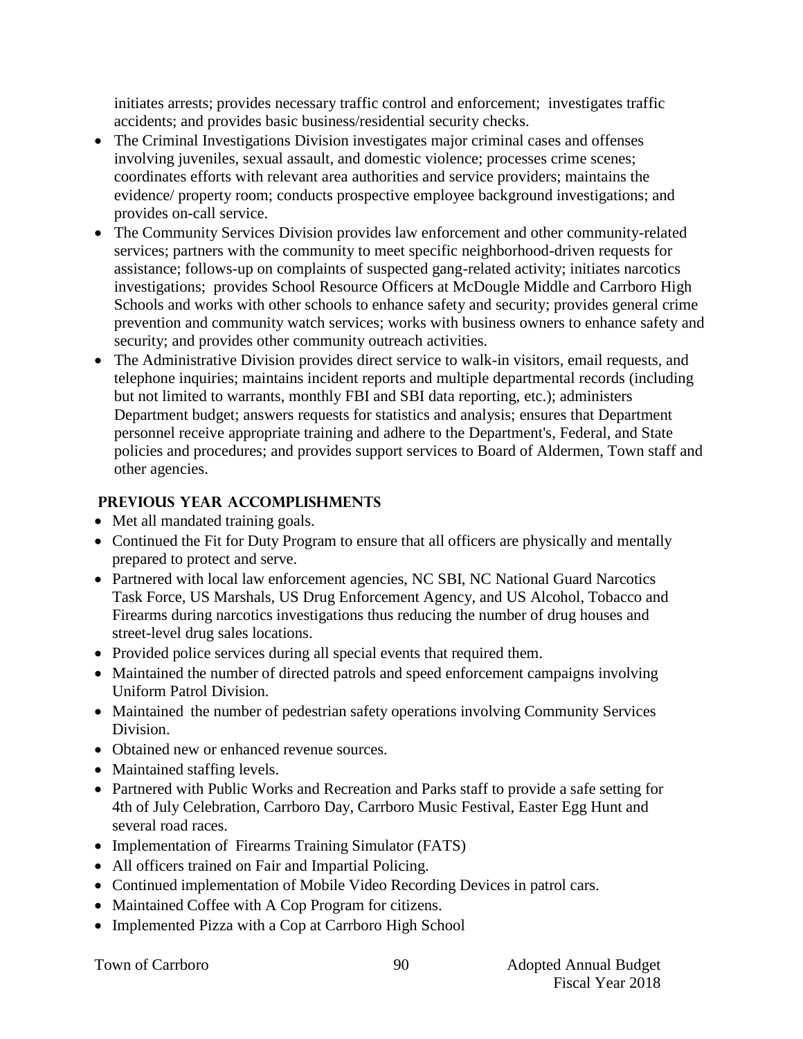initiates arrests; provides necessary traffic control and enforcement; investigates traffic accidents; and provides basic business/residential security checks.

- The Criminal Investigations Division investigates major criminal cases and offenses involving juveniles, sexual assault, and domestic violence; processes crime scenes; coordinates efforts with relevant area authorities and service providers; maintains the evidence/ property room; conducts prospective employee background investigations; and provides on-call service.
- The Community Services Division provides law enforcement and other community-related services; partners with the community to meet specific neighborhood-driven requests for assistance; follows-up on complaints of suspected gang-related activity; initiates narcotics investigations; provides School Resource Officers at McDougle Middle and Carrboro High Schools and works with other schools to enhance safety and security; provides general crime prevention and community watch services; works with business owners to enhance safety and security; and provides other community outreach activities.
- The Administrative Division provides direct service to walk-in visitors, email requests, and telephone inquiries; maintains incident reports and multiple departmental records (including but not limited to warrants, monthly FBI and SBI data reporting, etc.); administers Department budget; answers requests for statistics and analysis; ensures that Department personnel receive appropriate training and adhere to the Department's, Federal, and State policies and procedures; and provides support services to Board of Aldermen, Town staff and other agencies.

# **PREVIOUS YEAR ACCOMPLISHMENTS**

- Met all mandated training goals.
- Continued the Fit for Duty Program to ensure that all officers are physically and mentally prepared to protect and serve.
- Partnered with local law enforcement agencies, NC SBI, NC National Guard Narcotics Task Force, US Marshals, US Drug Enforcement Agency, and US Alcohol, Tobacco and Firearms during narcotics investigations thus reducing the number of drug houses and street-level drug sales locations.
- Provided police services during all special events that required them.
- Maintained the number of directed patrols and speed enforcement campaigns involving Uniform Patrol Division.
- Maintained the number of pedestrian safety operations involving Community Services Division.
- Obtained new or enhanced revenue sources.
- Maintained staffing levels.
- Partnered with Public Works and Recreation and Parks staff to provide a safe setting for 4th of July Celebration, Carrboro Day, Carrboro Music Festival, Easter Egg Hunt and several road races.
- Implementation of Firearms Training Simulator (FATS)
- All officers trained on Fair and Impartial Policing.
- Continued implementation of Mobile Video Recording Devices in patrol cars.
- Maintained Coffee with A Cop Program for citizens.
- Implemented Pizza with a Cop at Carrboro High School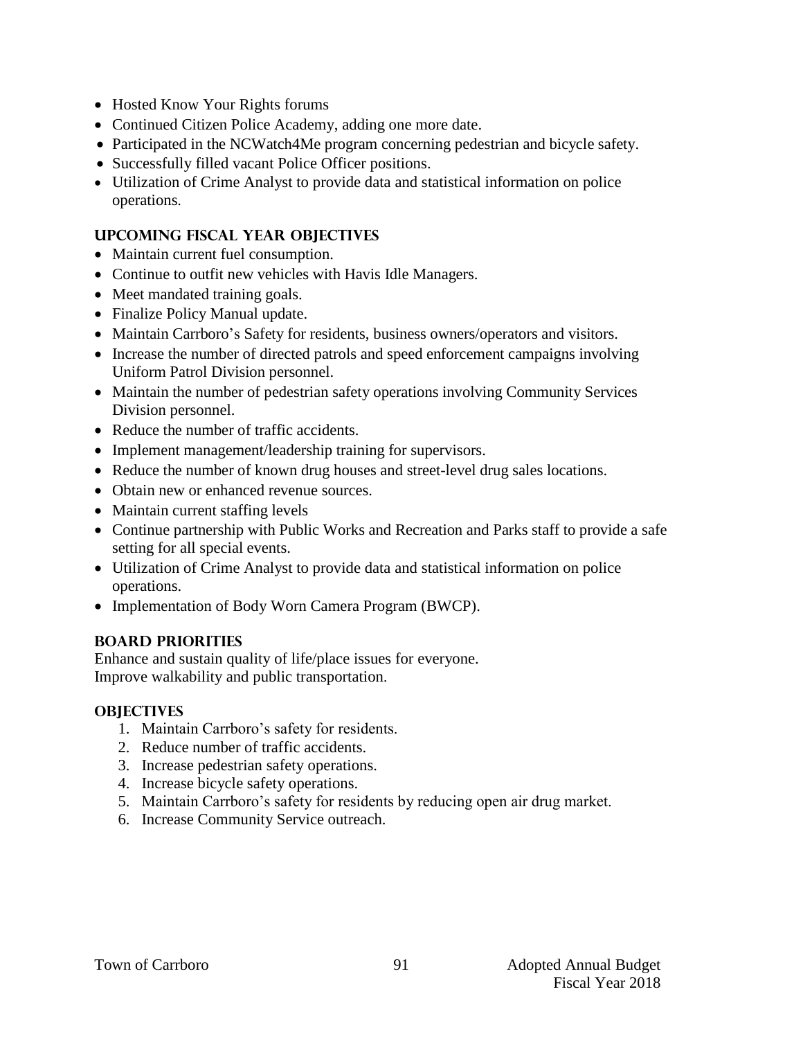- Hosted Know Your Rights forums
- Continued Citizen Police Academy, adding one more date.
- Participated in the NCWatch4Me program concerning pedestrian and bicycle safety.
- Successfully filled vacant Police Officer positions.
- Utilization of Crime Analyst to provide data and statistical information on police operations.

### **UPCOMING FISCAL YEAR OBJECTIVES**

- Maintain current fuel consumption.
- Continue to outfit new vehicles with Havis Idle Managers.
- Meet mandated training goals.
- Finalize Policy Manual update.
- Maintain Carrboro's Safety for residents, business owners/operators and visitors.
- Increase the number of directed patrols and speed enforcement campaigns involving Uniform Patrol Division personnel.
- Maintain the number of pedestrian safety operations involving Community Services Division personnel.
- Reduce the number of traffic accidents.
- Implement management/leadership training for supervisors.
- Reduce the number of known drug houses and street-level drug sales locations.
- Obtain new or enhanced revenue sources.
- Maintain current staffing levels
- Continue partnership with Public Works and Recreation and Parks staff to provide a safe setting for all special events.
- Utilization of Crime Analyst to provide data and statistical information on police operations.
- Implementation of Body Worn Camera Program (BWCP).

# **BOARD PRIORITIES**

Enhance and sustain quality of life/place issues for everyone. Improve walkability and public transportation.

# **OBJECTIVES**

- 1. Maintain Carrboro's safety for residents.
- 2. Reduce number of traffic accidents.
- 3. Increase pedestrian safety operations.
- 4. Increase bicycle safety operations.
- 5. Maintain Carrboro's safety for residents by reducing open air drug market.
- 6. Increase Community Service outreach.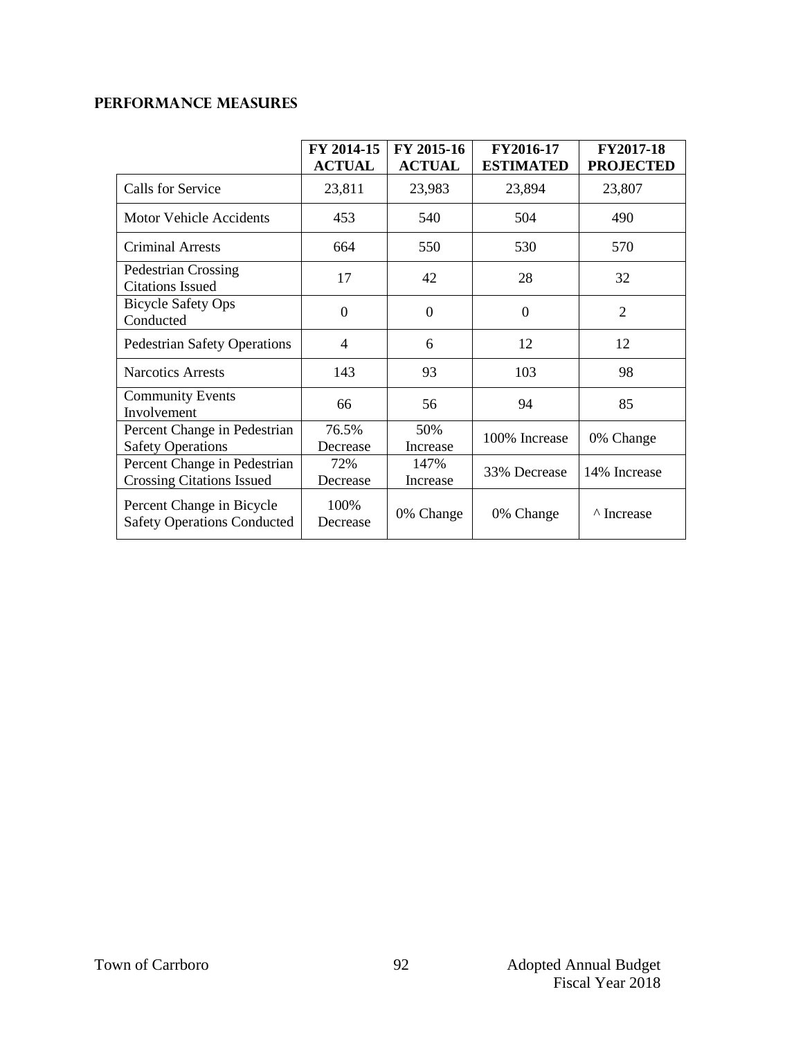# **Performance Measures**

|                                                                  | FY 2014-15<br><b>ACTUAL</b> | FY 2015-16<br><b>ACTUAL</b> | FY2016-17<br><b>ESTIMATED</b> | <b>FY2017-18</b><br><b>PROJECTED</b> |
|------------------------------------------------------------------|-----------------------------|-----------------------------|-------------------------------|--------------------------------------|
| Calls for Service                                                | 23,811                      | 23,983                      | 23,894                        | 23,807                               |
| <b>Motor Vehicle Accidents</b>                                   | 453                         | 540                         | 504                           | 490                                  |
| <b>Criminal Arrests</b>                                          | 664                         | 550                         | 530                           | 570                                  |
| Pedestrian Crossing<br><b>Citations Issued</b>                   | 17                          | 42                          | 28                            | 32                                   |
| <b>Bicycle Safety Ops</b><br>Conducted                           | $\Omega$                    | $\Omega$                    | $\Omega$                      | $\overline{2}$                       |
| <b>Pedestrian Safety Operations</b>                              | 4                           | 6                           | 12                            | 12                                   |
| <b>Narcotics Arrests</b>                                         | 143                         | 93                          | 103                           | 98                                   |
| <b>Community Events</b><br>Involvement                           | 66                          | 56                          | 94                            | 85                                   |
| Percent Change in Pedestrian<br><b>Safety Operations</b>         | 76.5%<br>Decrease           | 50%<br>Increase             | 100% Increase                 | 0% Change                            |
| Percent Change in Pedestrian<br><b>Crossing Citations Issued</b> | 72%<br>Decrease             | 147%<br>Increase            | 33% Decrease                  | 14% Increase                         |
| Percent Change in Bicycle<br><b>Safety Operations Conducted</b>  | 100\%<br>Decrease           | 0% Change                   | 0% Change                     | <sup>^</sup> Increase                |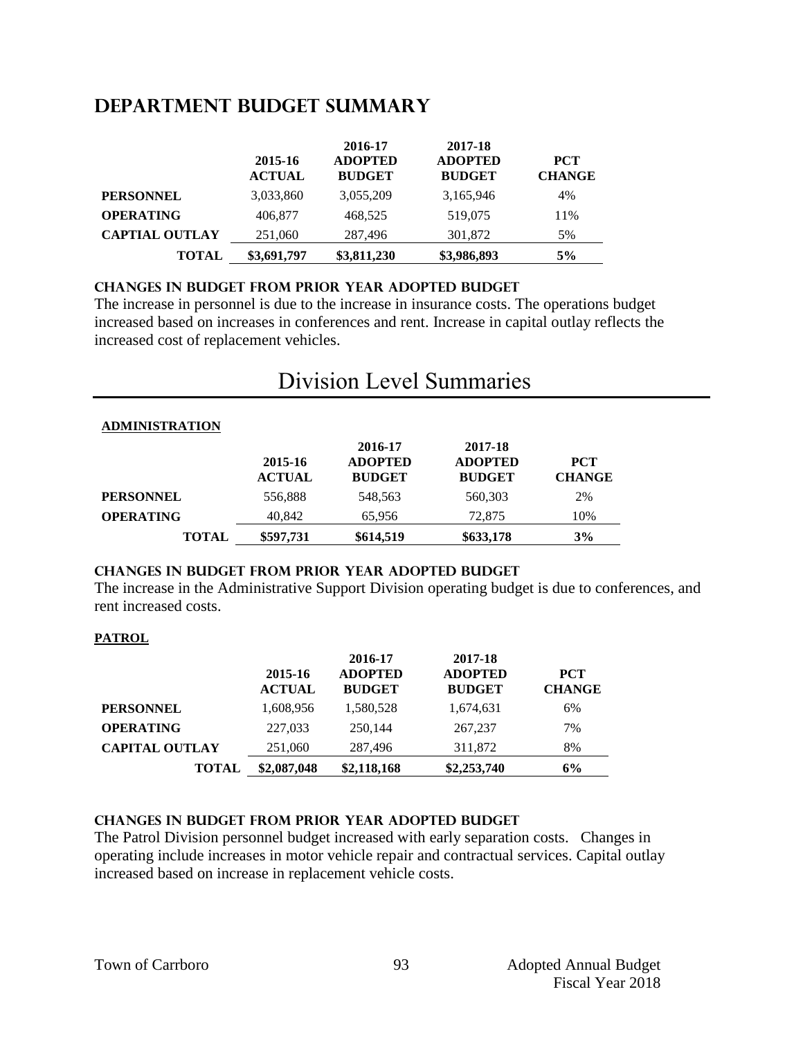# **DEPARTMENT Budget summary**

|                       | 2015-16<br><b>ACTUAL</b> | 2016-17<br><b>ADOPTED</b><br><b>BUDGET</b> | 2017-18<br><b>ADOPTED</b><br><b>BUDGET</b> | <b>PCT</b><br><b>CHANGE</b> |
|-----------------------|--------------------------|--------------------------------------------|--------------------------------------------|-----------------------------|
| <b>PERSONNEL</b>      | 3,033,860                | 3,055,209                                  | 3,165,946                                  | 4%                          |
| <b>OPERATING</b>      | 406,877                  | 468,525                                    | 519,075                                    | 11%                         |
| <b>CAPTIAL OUTLAY</b> | 251,060                  | 287,496                                    | 301,872                                    | 5%                          |
| <b>TOTAL</b>          | \$3,691,797              | \$3,811,230                                | \$3,986,893                                | 5%                          |

### **CHANGES IN BUDGET from PRIOR YEAR ADOPTED BUDGET**

The increase in personnel is due to the increase in insurance costs. The operations budget increased based on increases in conferences and rent. Increase in capital outlay reflects the increased cost of replacement vehicles.

# Division Level Summaries

### **ADMINISTRATION**

|                  | 2015-16<br><b>ACTUAL</b> | 2016-17<br><b>ADOPTED</b><br><b>BUDGET</b> | 2017-18<br><b>ADOPTED</b><br><b>BUDGET</b> | <b>PCT</b><br><b>CHANGE</b> |
|------------------|--------------------------|--------------------------------------------|--------------------------------------------|-----------------------------|
| <b>PERSONNEL</b> | 556,888                  | 548,563                                    | 560,303                                    | 2%                          |
| <b>OPERATING</b> | 40,842                   | 65,956                                     | 72,875                                     | 10%                         |
| <b>TOTAL</b>     | \$597,731                | \$614,519                                  | \$633,178                                  | 3%                          |

### **changes in budget from prior year adopted budget**

The increase in the Administrative Support Division operating budget is due to conferences, and rent increased costs.

### **PATROL**

|                       | 2015-16<br><b>ACTUAL</b> | 2016-17<br><b>ADOPTED</b><br><b>BUDGET</b> | 2017-18<br><b>ADOPTED</b><br><b>BUDGET</b> | <b>PCT</b><br><b>CHANGE</b> |
|-----------------------|--------------------------|--------------------------------------------|--------------------------------------------|-----------------------------|
| <b>PERSONNEL</b>      | 1,608,956                | 1,580,528                                  | 1,674,631                                  | 6%                          |
| <b>OPERATING</b>      | 227,033                  | 250.144                                    | 267,237                                    | 7%                          |
| <b>CAPITAL OUTLAY</b> | 251,060                  | 287,496                                    | 311,872                                    | 8%                          |
| <b>TOTAL</b>          | \$2,087,048              | \$2,118,168                                | \$2,253,740                                | 6%                          |

### **changes in budget from prior year adopted budget**

The Patrol Division personnel budget increased with early separation costs. Changes in operating include increases in motor vehicle repair and contractual services. Capital outlay increased based on increase in replacement vehicle costs.